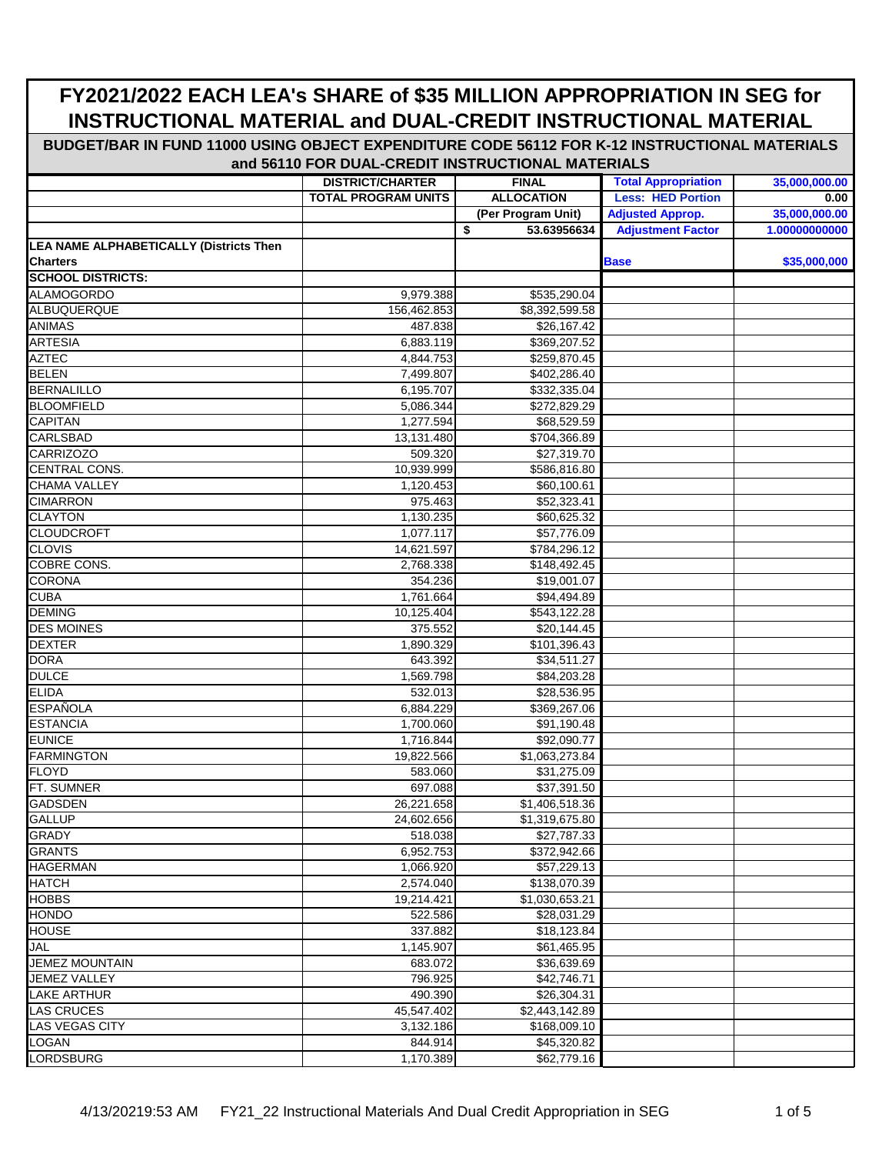|                                                | <b>DISTRICT/CHARTER</b>    | <b>FINAL</b>              | <b>Total Appropriation</b> | 35,000,000.00 |
|------------------------------------------------|----------------------------|---------------------------|----------------------------|---------------|
|                                                | <b>TOTAL PROGRAM UNITS</b> | <b>ALLOCATION</b>         | <b>Less: HED Portion</b>   | 0.00          |
|                                                |                            | (Per Program Unit)        | <b>Adjusted Approp.</b>    | 35,000,000.00 |
|                                                |                            | \$<br>53.63956634         | <b>Adjustment Factor</b>   | 1.00000000000 |
| <b>LEA NAME ALPHABETICALLY (Districts Then</b> |                            |                           |                            |               |
| <b>Charters</b>                                |                            |                           | <b>Base</b>                | \$35,000,000  |
| <b>SCHOOL DISTRICTS:</b>                       |                            |                           |                            |               |
| <b>ALAMOGORDO</b>                              | 9,979.388                  | \$535,290.04              |                            |               |
| ALBUQUERQUE                                    | 156,462.853                | \$8,392,599.58            |                            |               |
| <b>ANIMAS</b>                                  | 487.838                    | \$26,167.42               |                            |               |
| <b>ARTESIA</b>                                 | 6,883.119                  | \$369,207.52              |                            |               |
| <b>AZTEC</b>                                   | 4,844.753                  | \$259,870.45              |                            |               |
| <b>BELEN</b>                                   | 7,499.807                  | \$402,286.40              |                            |               |
| <b>BERNALILLO</b>                              | 6,195.707                  | \$332,335.04              |                            |               |
| <b>BLOOMFIELD</b>                              | 5,086.344                  | \$272,829.29              |                            |               |
| <b>CAPITAN</b>                                 | 1,277.594                  | \$68,529.59               |                            |               |
| <b>CARLSBAD</b>                                | 13,131.480                 | \$704,366.89              |                            |               |
| <b>CARRIZOZO</b>                               | 509.320                    | \$27,319.70               |                            |               |
| CENTRAL CONS.                                  | 10,939.999                 | \$586,816.80              |                            |               |
| <b>CHAMA VALLEY</b>                            | 1,120.453                  | \$60,100.61               |                            |               |
| <b>CIMARRON</b>                                | 975.463                    | \$52,323.41               |                            |               |
| <b>CLAYTON</b>                                 | 1,130.235                  | \$60,625.32               |                            |               |
| <b>CLOUDCROFT</b>                              | 1,077.117                  | \$57,776.09               |                            |               |
| <b>CLOVIS</b>                                  | 14,621.597                 | \$784,296.12              |                            |               |
| COBRE CONS.                                    | 2,768.338                  | \$148,492.45              |                            |               |
| <b>CORONA</b>                                  | 354.236                    | \$19,001.07               |                            |               |
| <b>CUBA</b>                                    | 1,761.664                  | \$94,494.89               |                            |               |
| <b>DEMING</b>                                  | 10,125.404                 | \$543,122.28              |                            |               |
| <b>DES MOINES</b>                              | 375.552                    | \$20,144.45               |                            |               |
| <b>DEXTER</b>                                  | 1,890.329                  | \$101,396.43              |                            |               |
| <b>DORA</b>                                    | 643.392                    | \$34,511.27               |                            |               |
| <b>DULCE</b>                                   | 1,569.798                  | \$84,203.28               |                            |               |
| <b>ELIDA</b>                                   | 532.013                    | \$28,536.95               |                            |               |
| <b>ESPAÑOLA</b>                                | 6,884.229                  | \$369,267.06              |                            |               |
| <b>ESTANCIA</b>                                | 1,700.060                  | \$91,190.48               |                            |               |
| <b>EUNICE</b>                                  | 1,716.844                  | \$92,090.77               |                            |               |
| <b>FARMINGTON</b>                              | 19,822.566                 | $\overline{1,063,273.84}$ |                            |               |
| <b>FLOYD</b>                                   | 583.060                    | \$31,275.09               |                            |               |
| FT. SUMNER                                     | 697.088                    | \$37,391.50               |                            |               |
| <b>GADSDEN</b>                                 | 26,221.658                 | \$1,406,518.36            |                            |               |
| <b>GALLUP</b>                                  | 24,602.656                 | \$1,319,675.80            |                            |               |
| <b>GRADY</b>                                   | 518.038                    | \$27,787.33               |                            |               |
| <b>GRANTS</b>                                  | 6,952.753                  | \$372,942.66              |                            |               |
| <b>HAGERMAN</b>                                | 1,066.920                  | \$57,229.13               |                            |               |
| <b>HATCH</b>                                   | 2,574.040                  | \$138,070.39              |                            |               |
| <b>HOBBS</b>                                   | 19,214.421                 | \$1,030,653.21            |                            |               |
| <b>HONDO</b>                                   | 522.586                    | \$28,031.29               |                            |               |
| <b>HOUSE</b>                                   | 337.882                    | \$18,123.84               |                            |               |
| <b>JAL</b>                                     | 1,145.907                  | \$61,465.95               |                            |               |
| <b>JEMEZ MOUNTAIN</b>                          | 683.072                    | \$36,639.69               |                            |               |
| <b>JEMEZ VALLEY</b>                            | 796.925                    | \$42,746.71               |                            |               |
| <b>LAKE ARTHUR</b>                             | 490.390                    | \$26,304.31               |                            |               |
| <b>LAS CRUCES</b>                              | 45,547.402                 | \$2,443,142.89            |                            |               |
| LAS VEGAS CITY                                 | 3,132.186                  | \$168,009.10              |                            |               |
| <b>LOGAN</b>                                   | 844.914                    | \$45,320.82               |                            |               |
| <b>LORDSBURG</b>                               | 1,170.389                  | \$62,779.16               |                            |               |
|                                                |                            |                           |                            |               |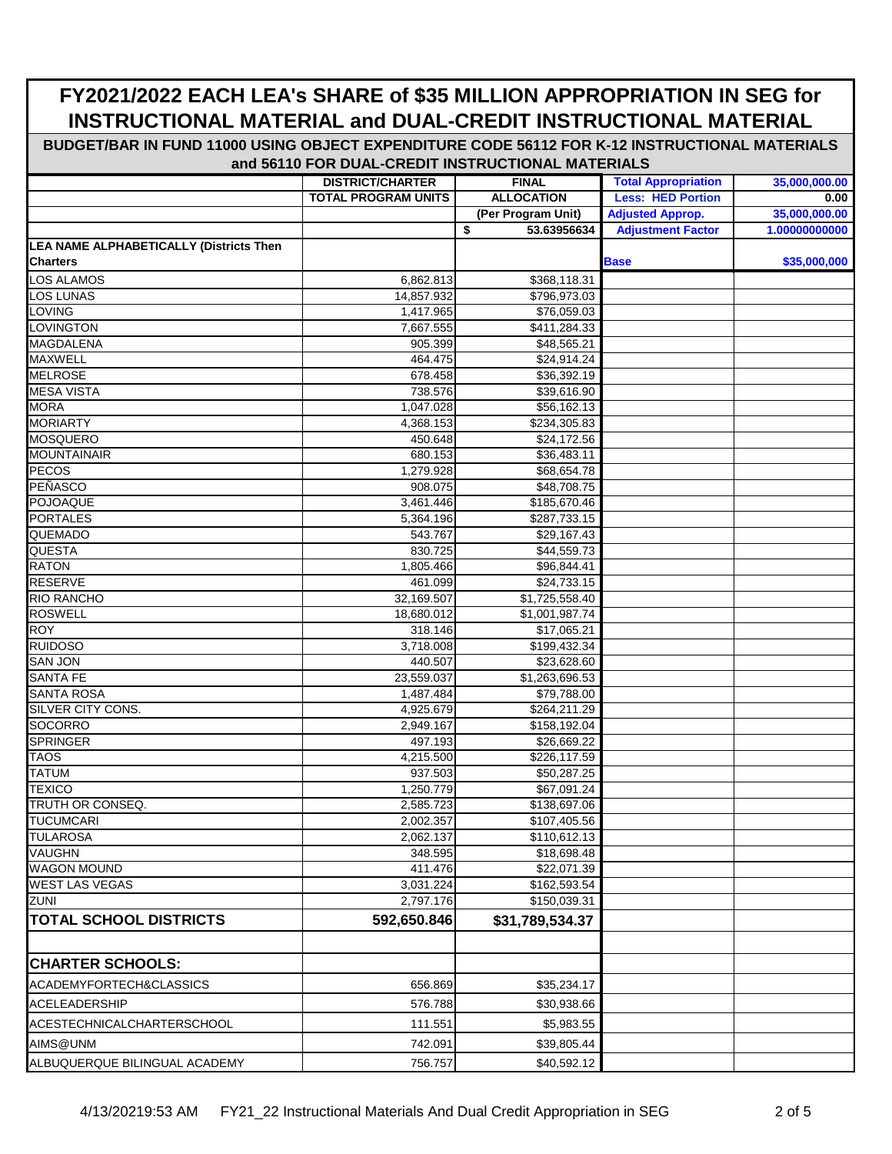|                                                                   | <b>DISTRICT/CHARTER</b> | <b>FINAL</b>               | <b>Total Appropriation</b> | 35,000,000.00 |
|-------------------------------------------------------------------|-------------------------|----------------------------|----------------------------|---------------|
|                                                                   | TOTAL PROGRAM UNITS     | <b>ALLOCATION</b>          | <b>Less: HED Portion</b>   | 0.00          |
|                                                                   |                         | (Per Program Unit)         | <b>Adjusted Approp.</b>    | 35,000,000.00 |
|                                                                   |                         | \$<br>53.63956634          | <b>Adjustment Factor</b>   | 1.00000000000 |
| <b>LEA NAME ALPHABETICALLY (Districts Then</b><br><b>Charters</b> |                         |                            | <b>Base</b>                | \$35,000,000  |
| LOS ALAMOS                                                        | 6,862.813               | \$368,118.31               |                            |               |
| LOS LUNAS                                                         | 14,857.932              | \$796,973.03               |                            |               |
| <b>LOVING</b>                                                     | 1,417.965               | \$76,059.03                |                            |               |
| LOVINGTON                                                         | 7,667.555               | \$411,284.33               |                            |               |
| <b>MAGDALENA</b>                                                  | 905.399                 | \$48,565.21                |                            |               |
| <b>MAXWELL</b>                                                    | 464.475                 | \$24,914.24                |                            |               |
| <b>MELROSE</b>                                                    | 678.458                 | \$36,392.19                |                            |               |
| <b>MESA VISTA</b>                                                 | 738.576                 | \$39,616.90                |                            |               |
| <b>MORA</b>                                                       | 1,047.028               | \$56,162.13                |                            |               |
| <b>MORIARTY</b>                                                   | 4,368.153               | \$234,305.83               |                            |               |
| <b>MOSQUERO</b>                                                   | 450.648                 | \$24,172.56                |                            |               |
| <b>MOUNTAINAIR</b>                                                | 680.153                 | \$36,483.11                |                            |               |
| PECOS                                                             | 1,279.928               | \$68,654.78                |                            |               |
| PEÑASCO                                                           | 908.075                 | \$48,708.75                |                            |               |
| <b>POJOAQUE</b>                                                   | 3,461.446               | \$185,670.46               |                            |               |
| <b>PORTALES</b>                                                   | 5,364.196               | \$287,733.15               |                            |               |
| QUEMADO<br><b>QUESTA</b>                                          | 543.767<br>830.725      | \$29,167.43                |                            |               |
| <b>RATON</b>                                                      | 1,805.466               | \$44,559.73<br>\$96,844.41 |                            |               |
| <b>RESERVE</b>                                                    | 461.099                 | \$24,733.15                |                            |               |
| <b>RIO RANCHO</b>                                                 | 32,169.507              | $\overline{1,725,558.40}$  |                            |               |
| <b>ROSWELL</b>                                                    | 18,680.012              | \$1,001,987.74             |                            |               |
| <b>ROY</b>                                                        | 318.146                 | \$17,065.21                |                            |               |
| <b>RUIDOSO</b>                                                    | 3,718.008               | \$199,432.34               |                            |               |
| <b>SAN JON</b>                                                    | 440.507                 | \$23,628.60                |                            |               |
| <b>SANTA FE</b>                                                   | 23,559.037              | \$1,263,696.53             |                            |               |
| <b>SANTA ROSA</b>                                                 | 1,487.484               | \$79,788.00                |                            |               |
| SILVER CITY CONS.                                                 | 4,925.679               | \$264,211.29               |                            |               |
| SOCORRO                                                           | 2,949.167               | \$158,192.04               |                            |               |
| <b>SPRINGER</b>                                                   | 497.193                 | \$26,669.22                |                            |               |
| <b>TAOS</b>                                                       | 4,215.500               | \$226,117.59               |                            |               |
| <b>TATUM</b>                                                      | 937.503                 | \$50,287.25                |                            |               |
| <b>TEXICO</b>                                                     | 1,250.779               | \$67,091.24                |                            |               |
| TRUTH OR CONSEQ.                                                  | 2,585.723               | \$138,697.06               |                            |               |
| <b>TUCUMCARI</b>                                                  | 2,002.357               | \$107,405.56               |                            |               |
| <b>TULAROSA</b>                                                   | 2,062.137               | \$110,612.13               |                            |               |
| <b>VAUGHN</b>                                                     | 348.595                 | \$18,698.48                |                            |               |
| <b>WAGON MOUND</b>                                                | 411.476                 | \$22,071.39                |                            |               |
| <b>WEST LAS VEGAS</b>                                             | 3,031.224               | \$162,593.54               |                            |               |
| ZUNI                                                              | 2,797.176               | \$150,039.31               |                            |               |
| <b>TOTAL SCHOOL DISTRICTS</b>                                     | 592,650.846             | \$31,789,534.37            |                            |               |
|                                                                   |                         |                            |                            |               |
| <b>CHARTER SCHOOLS:</b>                                           |                         |                            |                            |               |
| ACADEMYFORTECH&CLASSICS                                           | 656.869                 | \$35,234.17                |                            |               |
| ACELEADERSHIP                                                     | 576.788                 | \$30,938.66                |                            |               |
| ACESTECHNICALCHARTERSCHOOL                                        | 111.551                 | \$5,983.55                 |                            |               |
| AIMS@UNM                                                          | 742.091                 |                            |                            |               |
|                                                                   |                         | \$39,805.44                |                            |               |
| ALBUQUERQUE BILINGUAL ACADEMY                                     | 756.757                 | \$40,592.12                |                            |               |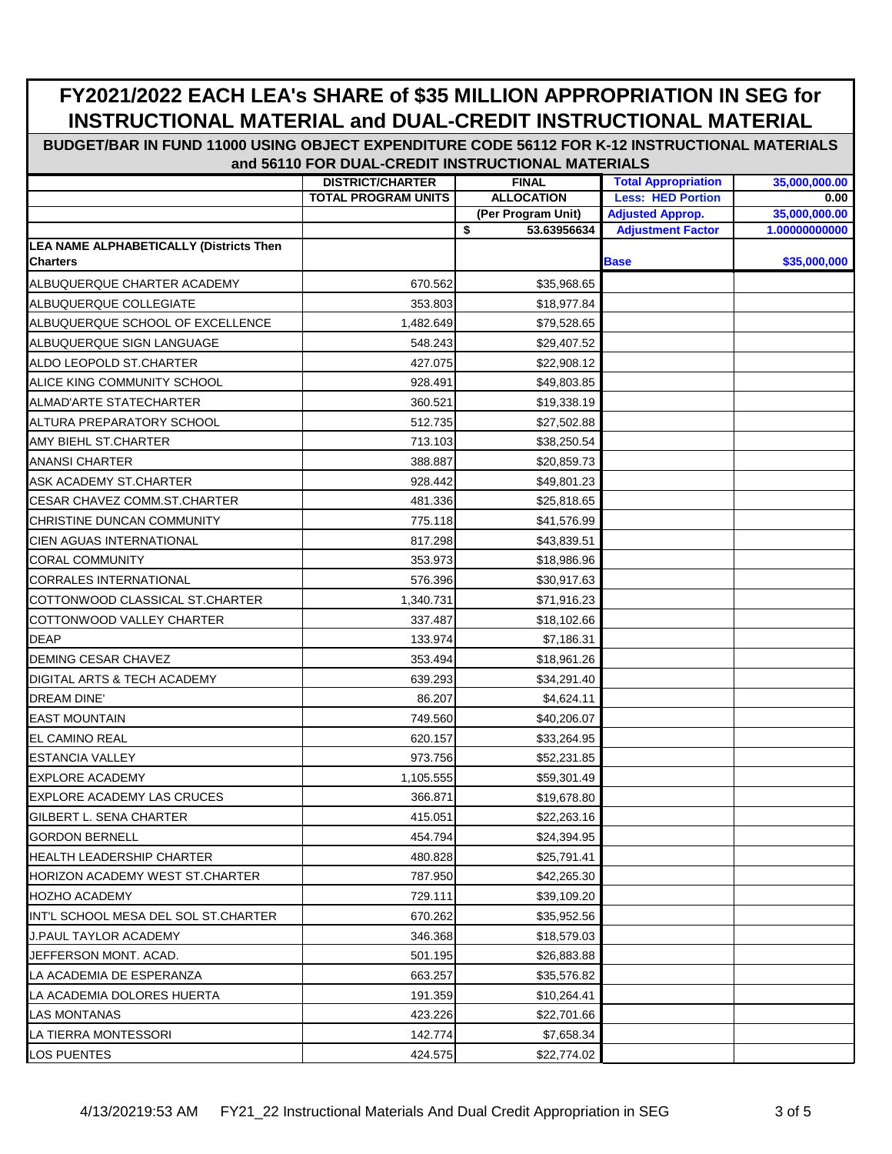|                                                | <b>DISTRICT/CHARTER</b>    | <b>FINAL</b>       | <b>Total Appropriation</b> | 35,000,000.00 |
|------------------------------------------------|----------------------------|--------------------|----------------------------|---------------|
|                                                | <b>TOTAL PROGRAM UNITS</b> | <b>ALLOCATION</b>  | <b>Less: HED Portion</b>   | 0.00          |
|                                                |                            | (Per Program Unit) | <b>Adjusted Approp.</b>    | 35,000,000.00 |
|                                                |                            | \$<br>53.63956634  | <b>Adjustment Factor</b>   | 1.00000000000 |
| <b>LEA NAME ALPHABETICALLY (Districts Then</b> |                            |                    |                            |               |
| <b>Charters</b>                                |                            |                    | <b>Base</b>                | \$35,000,000  |
| ALBUQUERQUE CHARTER ACADEMY                    | 670.562                    | \$35,968.65        |                            |               |
| ALBUQUERQUE COLLEGIATE                         | 353.803                    | \$18,977.84        |                            |               |
| ALBUQUERQUE SCHOOL OF EXCELLENCE               | 1,482.649                  | \$79,528.65        |                            |               |
| ALBUQUERQUE SIGN LANGUAGE                      | 548.243                    | \$29,407.52        |                            |               |
| ALDO LEOPOLD ST.CHARTER                        | 427.075                    | \$22,908.12        |                            |               |
| ALICE KING COMMUNITY SCHOOL                    | 928.491                    | \$49,803.85        |                            |               |
| <b>ALMAD'ARTE STATECHARTER</b>                 | 360.521                    | \$19,338.19        |                            |               |
| ALTURA PREPARATORY SCHOOL                      | 512.735                    | \$27,502.88        |                            |               |
| AMY BIEHL ST.CHARTER                           | 713.103                    | \$38,250.54        |                            |               |
| <b>ANANSI CHARTER</b>                          | 388.887                    | \$20,859.73        |                            |               |
| ASK ACADEMY ST.CHARTER                         | 928.442                    | \$49,801.23        |                            |               |
| CESAR CHAVEZ COMM.ST.CHARTER                   | 481.336                    | \$25,818.65        |                            |               |
| CHRISTINE DUNCAN COMMUNITY                     | 775.118                    | \$41,576.99        |                            |               |
| <b>CIEN AGUAS INTERNATIONAL</b>                | 817.298                    | \$43,839.51        |                            |               |
| <b>CORAL COMMUNITY</b>                         | 353.973                    | \$18,986.96        |                            |               |
| <b>CORRALES INTERNATIONAL</b>                  | 576.396                    | \$30,917.63        |                            |               |
| COTTONWOOD CLASSICAL ST.CHARTER                | 1,340.731                  | \$71,916.23        |                            |               |
| COTTONWOOD VALLEY CHARTER                      | 337.487                    | \$18,102.66        |                            |               |
| <b>DEAP</b>                                    | 133.974                    | \$7,186.31         |                            |               |
| <b>DEMING CESAR CHAVEZ</b>                     | 353.494                    | \$18,961.26        |                            |               |
| DIGITAL ARTS & TECH ACADEMY                    | 639.293                    | \$34,291.40        |                            |               |
| <b>DREAM DINE'</b>                             | 86.207                     | \$4,624.11         |                            |               |
| <b>EAST MOUNTAIN</b>                           | 749.560                    | \$40,206.07        |                            |               |
| <b>EL CAMINO REAL</b>                          | 620.157                    | \$33,264.95        |                            |               |
| <b>ESTANCIA VALLEY</b>                         | 973.756                    | \$52,231.85        |                            |               |
| <b>EXPLORE ACADEMY</b>                         | 1,105.555                  | \$59,301.49        |                            |               |
| <b>EXPLORE ACADEMY LAS CRUCES</b>              | 366.871                    | \$19,678.80        |                            |               |
| GILBERT L. SENA CHARTER                        | 415.051                    | \$22,263.16        |                            |               |
| <b>GORDON BERNELL</b>                          | 454.794                    | \$24,394.95        |                            |               |
| <b>HEALTH LEADERSHIP CHARTER</b>               | 480.828                    | \$25,791.41        |                            |               |
| HORIZON ACADEMY WEST ST.CHARTER                | 787.950                    | \$42,265.30        |                            |               |
| <b>HOZHO ACADEMY</b>                           | 729.111                    | \$39,109.20        |                            |               |
| IINT'L SCHOOL MESA DEL SOL ST.CHARTER          | 670.262                    | \$35,952.56        |                            |               |
| J.PAUL TAYLOR ACADEMY                          | 346.368                    | \$18,579.03        |                            |               |
| JEFFERSON MONT. ACAD.                          | 501.195                    | \$26,883.88        |                            |               |
| LA ACADEMIA DE ESPERANZA                       | 663.257                    | \$35,576.82        |                            |               |
| LA ACADEMIA DOLORES HUERTA                     | 191.359                    | \$10,264.41        |                            |               |
| LAS MONTANAS                                   | 423.226                    | \$22,701.66        |                            |               |
| LA TIERRA MONTESSORI                           | 142.774                    | \$7,658.34         |                            |               |
| LOS PUENTES                                    | 424.575                    | \$22,774.02        |                            |               |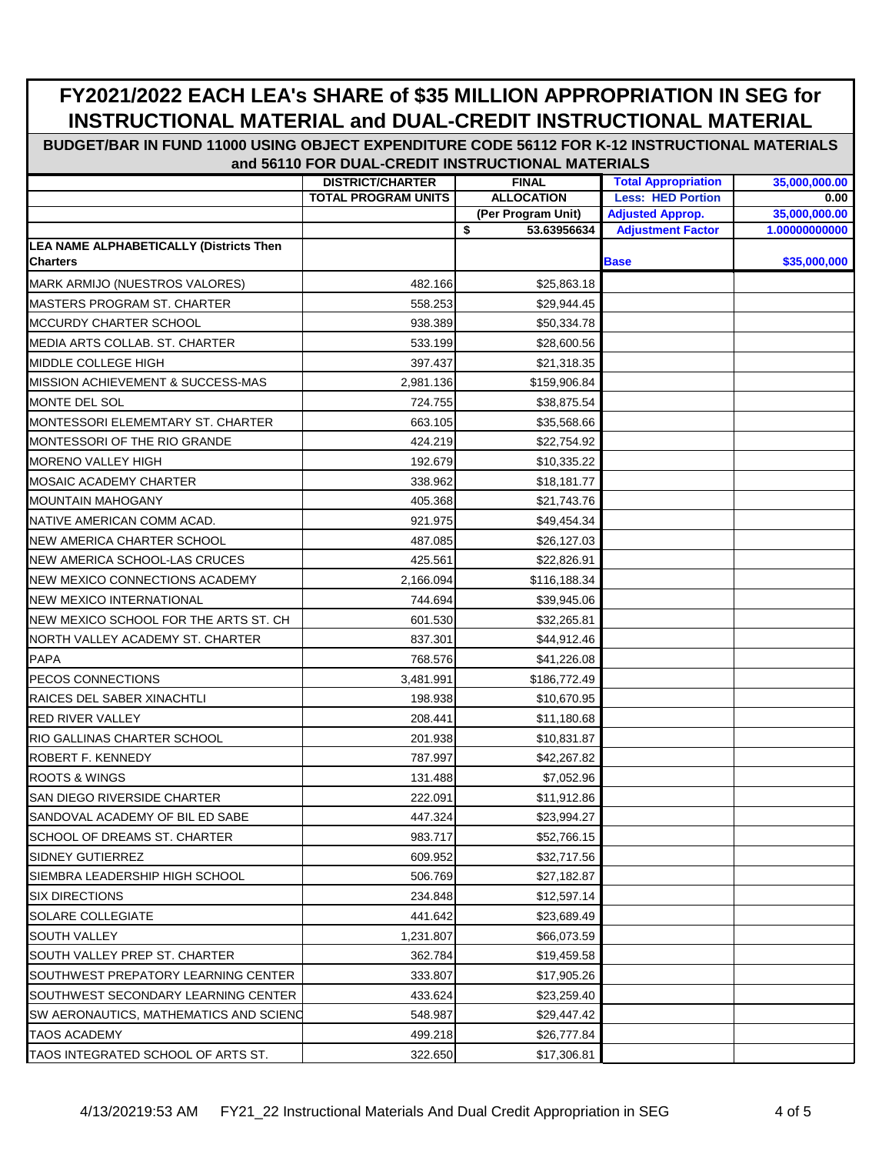|                                                            | <b>DISTRICT/CHARTER</b>    | <b>FINAL</b>       | <b>Total Appropriation</b> | 35,000,000.00 |
|------------------------------------------------------------|----------------------------|--------------------|----------------------------|---------------|
|                                                            | <b>TOTAL PROGRAM UNITS</b> | <b>ALLOCATION</b>  | <b>Less: HED Portion</b>   | 0.00          |
|                                                            |                            | (Per Program Unit) | <b>Adjusted Approp.</b>    | 35,000,000.00 |
|                                                            |                            | \$<br>53.63956634  | <b>Adjustment Factor</b>   | 1.00000000000 |
| LEA NAME ALPHABETICALLY (Districts Then<br><b>Charters</b> |                            |                    | <b>Base</b>                | \$35,000,000  |
| MARK ARMIJO (NUESTROS VALORES)                             | 482.166                    | \$25,863.18        |                            |               |
| <b>MASTERS PROGRAM ST. CHARTER</b>                         | 558.253                    | \$29,944.45        |                            |               |
| MCCURDY CHARTER SCHOOL                                     | 938.389                    | \$50,334.78        |                            |               |
|                                                            |                            |                    |                            |               |
| MEDIA ARTS COLLAB. ST. CHARTER<br>MIDDLE COLLEGE HIGH      | 533.199                    | \$28,600.56        |                            |               |
| MISSION ACHIEVEMENT & SUCCESS-MAS                          | 397.437                    | \$21,318.35        |                            |               |
| MONTE DEL SOL                                              | 2,981.136                  | \$159,906.84       |                            |               |
| MONTESSORI ELEMEMTARY ST. CHARTER                          | 724.755<br>663.105         | \$38,875.54        |                            |               |
|                                                            |                            | \$35,568.66        |                            |               |
| MONTESSORI OF THE RIO GRANDE                               | 424.219                    | \$22,754.92        |                            |               |
| <b>MORENO VALLEY HIGH</b>                                  | 192.679                    | \$10,335.22        |                            |               |
| <b>MOSAIC ACADEMY CHARTER</b>                              | 338.962                    | \$18,181.77        |                            |               |
| <b>MOUNTAIN MAHOGANY</b>                                   | 405.368                    | \$21,743.76        |                            |               |
| NATIVE AMERICAN COMM ACAD.                                 | 921.975                    | \$49,454.34        |                            |               |
| <b>NEW AMERICA CHARTER SCHOOL</b>                          | 487.085                    | \$26,127.03        |                            |               |
| NEW AMERICA SCHOOL-LAS CRUCES                              | 425.561                    | \$22,826.91        |                            |               |
| NEW MEXICO CONNECTIONS ACADEMY                             | 2,166.094                  | \$116,188.34       |                            |               |
| <b>NEW MEXICO INTERNATIONAL</b>                            | 744.694                    | \$39,945.06        |                            |               |
| NEW MEXICO SCHOOL FOR THE ARTS ST. CH                      | 601.530                    | \$32,265.81        |                            |               |
| NORTH VALLEY ACADEMY ST. CHARTER                           | 837.301                    | \$44,912.46        |                            |               |
| <b>PAPA</b>                                                | 768.576                    | \$41,226.08        |                            |               |
| PECOS CONNECTIONS                                          | 3,481.991                  | \$186,772.49       |                            |               |
| RAICES DEL SABER XINACHTLI                                 | 198.938                    | \$10,670.95        |                            |               |
| <b>RED RIVER VALLEY</b>                                    | 208.441                    | \$11,180.68        |                            |               |
| <b>RIO GALLINAS CHARTER SCHOOL</b>                         | 201.938                    | \$10,831.87        |                            |               |
| <b>ROBERT F. KENNEDY</b>                                   | 787.997                    | \$42,267.82        |                            |               |
| <b>ROOTS &amp; WINGS</b>                                   | 131.488                    | \$7,052.96         |                            |               |
| SAN DIEGO RIVERSIDE CHARTER                                | 222.091                    | \$11,912.86        |                            |               |
| SANDOVAL ACADEMY OF BIL ED SABE                            | 447.324                    | \$23,994.27        |                            |               |
| SCHOOL OF DREAMS ST. CHARTER                               | 983.717                    | \$52,766.15        |                            |               |
| SIDNEY GUTIERREZ                                           | 609.952                    | \$32,717.56        |                            |               |
| SIEMBRA LEADERSHIP HIGH SCHOOL                             | 506.769                    | \$27,182.87        |                            |               |
| <b>SIX DIRECTIONS</b>                                      | 234.848                    | \$12,597.14        |                            |               |
| <b>SOLARE COLLEGIATE</b>                                   | 441.642                    | \$23,689.49        |                            |               |
| <b>SOUTH VALLEY</b>                                        | 1,231.807                  | \$66,073.59        |                            |               |
| SOUTH VALLEY PREP ST. CHARTER                              | 362.784                    | \$19,459.58        |                            |               |
| SOUTHWEST PREPATORY LEARNING CENTER                        | 333.807                    | \$17,905.26        |                            |               |
| SOUTHWEST SECONDARY LEARNING CENTER                        | 433.624                    | \$23,259.40        |                            |               |
| SW AERONAUTICS, MATHEMATICS AND SCIENC                     | 548.987                    | \$29,447.42        |                            |               |
| <b>TAOS ACADEMY</b>                                        | 499.218                    | \$26,777.84        |                            |               |
| TAOS INTEGRATED SCHOOL OF ARTS ST.                         | 322.650                    | \$17,306.81        |                            |               |